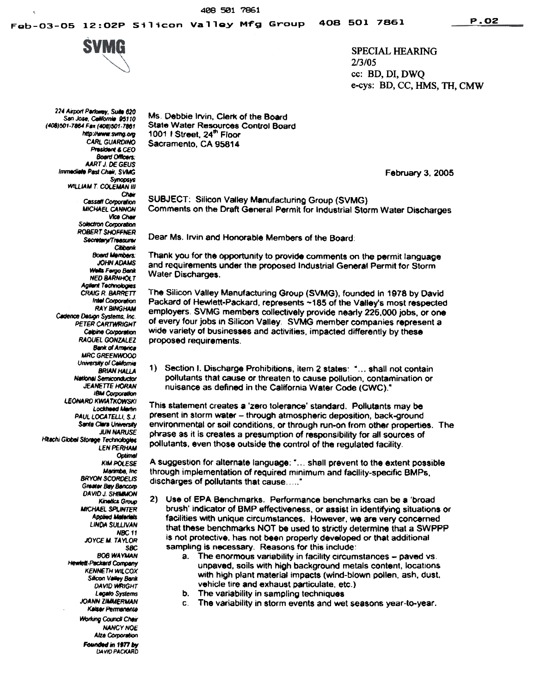SPECIAL HEARING 2/3/05 cc: BD, DI, DWQ e-cys: BD, CC, HMS, TH, CMW

224 Airport Parkway, Suite 820 San Jose, California 95110 (408)501-7864 Fax (408)501-7861 http://www.svmg.org<br>CARL GUARDINO President & CFO **Board Officers: AART J. DE GEUS** Immediate Past Chair, SVMG<br>Synopsys WILLIAM T. COLEMAN III Chair **Cassatt Corporation** MICHAEL CANNON **Solectron Corporation ROBERT SHOFFNER** Secretary/Treasurer Citibank **Board Members: JOHN ADAMS** Wells Fergo Bank NED BARNHOLT<br>Agilent Technologies **CRAIG R. BARRETT** Intel Corporation **RAY BINGHAM** Cadence Dasign Systems, Inc. PETER CARTWRIGHT Calpine Corporation RAQUEL GONZALEZ **Bank of America** MRC GREENWOOD<br>University of California **BRIAN HALLA National Semiconductor JEANETTE HORAN** IBM Corporation<br>LEONARD KWIATKOWSKI<br>Lockheed Martin PAUL LOCATELLI, S.J. Santa Clara University **JUN NARUSE** Hitachi Global Storage Technologies **LEN PERHAM** Optimal **KIM POLESE** Marimba, Inc.<br>BRYON SCORDELIS **Greater Bay Bancorp DAVID J. SHIMMON** Kinelics Group MICHAEL SPLINTER **Applied Materials** LINDA SULLIVAN NBC<sub>11</sub> JOYCE M TAYlOR **SBC BOB WAYMAN** Hewlett-Packard Company<br>KENNETH WILCOX Silicon Valley Bank **DAVID WRIGHT** Legato Systems<br>JOANN ZIMMERMAN Kaiser Permanente **Working Council Chair NANCY NOE** Alza Corporation Founded in 1977 by<br>DAVID PACKARD

Ms. Debbie Irvin. Clerk of the Board State Water Resources Control Board 1001 I Street, 24<sup>th</sup> Floor Sacramento. CA 95814

February 3. 2005

SUBJECT: Silicon Valley Manufacturing Group (SVMG) Comments on the Draft General Permit for Industrial Storm Water Discharges

Dear Ms. Irvin and Honorable Members of the Board:

Thank you for the opportunity to provide comments on the permit language and requirements under the proposed Industrial General Permit for Storm Water Discharges.

The Silicon Valley Manufacturing Group (SVMG), founded in 1978 by David Packard of Hewlett-Packard, represents ~185 of the Valley's most respected employers. SVMG members collectively provide nearly 225,000 jobs, or one of every four jobs in Silicon Valley. SVMG member companies represent a wide variety of businesses and activities, impacted differently by these proposed requirements.

1) Section I. Discharge Prohibitions. item 2 states: "... shall not contain pollutants that cause or threaten to cause pollution, contamination or nuisance as defined in the California Water Code (CWC)."

This statement creates a 'zero tolerance' standard. Pollutants may be present in storm water - through atmospheric deposition, back-ground environmental or soil conditions. or through run-on from other properties. The phrase as it is creates a presumption of responsibility for all sources of pollutants. even those outside the control of the regulated facility.

A suggestion for alternate language: "... shall prevent to the extent possible through implementation of required minimum and facility-specific BMPs, discharges of pollutants that cause....."

- $2)$ Use of EPA Benchmarks. Performance benchmarks can be a 'broad brush' indicator of BMP effectiveness. or assist in identifying situations or facilities with unique circumstances. However. we are very concerned that these benchmarks NOT be used to strictly determine that a SWPPP is not protective, has not been properly developed or that additional sampling is necessary. Reasons for this include:
	- a. The enormous variability in facility circumstances paved vs. unpaved, soils with high background metals content, locations with high plant material impacts (wind-blown pollen. ash, dust. vehicle tire and exhaust particulate. etc.)
	- b. The variability in sampling techniques
	- c The variability in storm events and wet seasons year-to-year.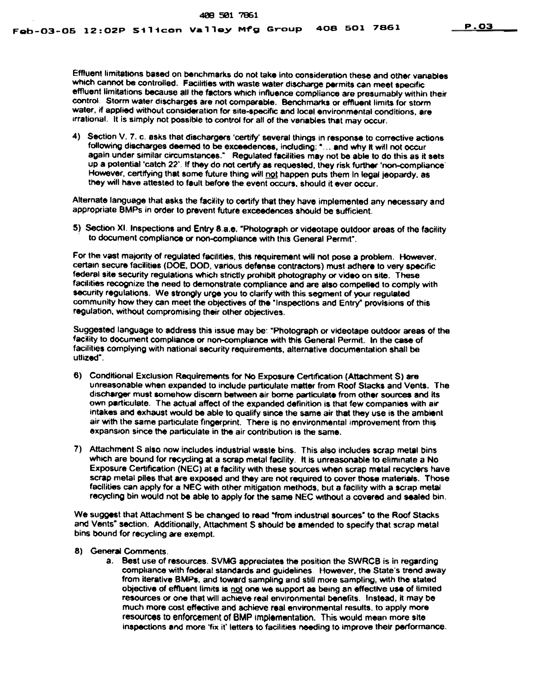Effluent limitations based on benchmarks do not take into consideration these and other variables which cannot be controlled. Facilities with waste water discharge permits can meet specific effluent limitations because all the factors which influence compliance are presumably within their control. Storm water discharges are not comparable. Benchmarks or effluent limits for storm water, if applied without consideration for site-specific and local environmental conditions, are irrational. It is simply not possible to control for all of the variables that may occur.

4) Section V. 7. c. asks that dischargers 'certify' several things in response to corrective actions following discharges deemed to be exceedences, including: "... and why it will not occur again under similar circumstances." Regulated facilities may not be able to do this as it sets up a potential 'catch 22'. If they do not certify as requested, they risk further 'non-compliance' However, certifying that some future thing will not happen puts them in legal jeopardy, as they will have attested to fault before the event occurs, should it ever occur.

Alternate language that asks the facility to certify that they have implemented any necessary and appropriate BMPs in order to prevent future exceedences should be sufficient.

5) Section XI. Inspections and Entry 8.a.e. "Photograph or videotape outdoor areas of the facility to document compliance or non-compliance with this General Permit".

For the vast majority of regulated facilities, this requirement will not pose a problem. However, certain secure facilities (DOE. DOD, various defense contractors) must adhere to very specific federal site security regulations which strictly prohibit photography or video on site. These facilities recognize the need to demonstrate compliance and are also compelled to comply with security regulations. We strongly urge you to clarify with this segment of your regulated community how they can meet the objectives of the "Inspections and Entry" provisions of this regulation. without compromising their other objectives.

Suggested language to address this issue may be: "Photograph or videotape outdoor areas of the facility to document compliance or non-compliance with this General Permit. In the case of facilities complying with national security requirements. alternative documentation shall be utlized-,

- 6) Conditional Exclusion Requirements for No Exposure Cer1lflCation (Attachment \$) are unreasonable when expanded to include particulate matter from Roof Stacks and Vents. The discharger must somehow discern between air borne particulate from other sources and its own particulate. The actual affect of the expanded definition is that few companies with air intakes and exhaust would be able to qualify since the same air that they use is the ambient<br>air with the same particulate fingerprint. There is no environmental improvement from this expansion since the particulate in the air contribution is the same.
- 7) Attachment S also now includes industrial waste bins.. This also includes scrap metal bins which are bound for recycling at a scrap metal facility. It is unreasonable to eliminate a No Exposure Certification (NEC) at a facility with these sources When scrap metal recyclers have scrap metal plies that are exposed and they are not required to cover those materiels. Those facilities can apply for a NEC with other mitigation methods. but a facility with a scrap metal recycling bin would not be able to apply for the same NEC WIthout a covered and sealed bin.

We suggest that Attachment S be changed to read "from industrial sources" to the Roof Stacks and Vents" section. Additionally, Attachment S should be amended to specify that scrap metal bins bound for recycling are exempt.

- 8) General Comments.
	- a. Best use of resources. SVMG appreciates the position the SWRCB is in regarding compliance with federal standards and guidelines. However, the State's trend away from iterative BMPs, and toward sampling and still more sampling, with the stated objective of effluent limits is not one we support as being an effective use of limited resources or one that will achieve real environmental benefits. Instead, it may be much more cost effective and achieve real environmental results, to apply more resources to enforcement of BMP implementation. This would mean more siteinspections and more 'fix it' letters to facilities needing to improve their performance.